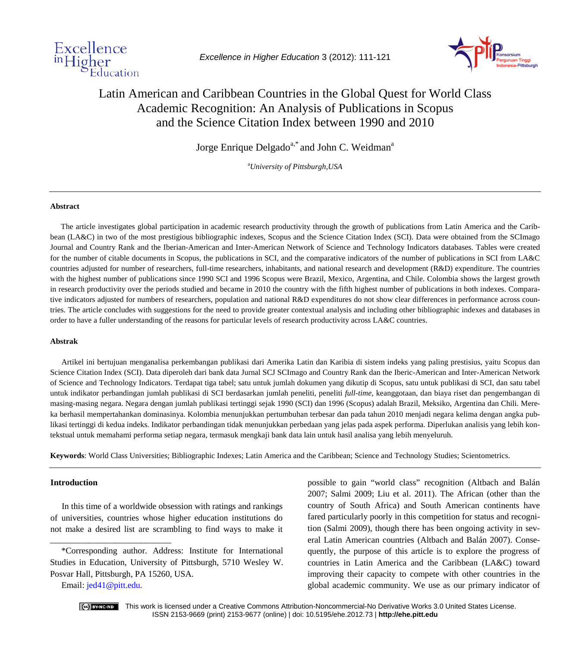

*Excellence in Higher Education* 3 (2012): 111-121



# Latin American and Caribbean Countries in the Global Quest for World Class Academic Recognition: An Analysis of Publications in Scopus and the Science Citation Index between 1990 and 2010

Jorge Enrique Delgado<sup>a,\*</sup> and John C. Weidman<sup>a</sup>

a *University of Pittsburgh,USA*

#### **Abstract**

The article investigates global participation in academic research productivity through the growth of publications from Latin America and the Caribbean (LA&C) in two of the most prestigious bibliographic indexes, Scopus and the Science Citation Index (SCI). Data were obtained from the SCImago Journal and Country Rank and the Iberian-American and Inter-American Network of Science and Technology Indicators databases. Tables were created for the number of citable documents in Scopus, the publications in SCI, and the comparative indicators of the number of publications in SCI from LA&C countries adjusted for number of researchers, full-time researchers, inhabitants, and national research and development (R&D) expenditure. The countries with the highest number of publications since 1990 SCI and 1996 Scopus were Brazil, Mexico, Argentina, and Chile. Colombia shows the largest growth in research productivity over the periods studied and became in 2010 the country with the fifth highest number of publications in both indexes. Comparative indicators adjusted for numbers of researchers, population and national R&D expenditures do not show clear differences in performance across countries. The article concludes with suggestions for the need to provide greater contextual analysis and including other bibliographic indexes and databases in order to have a fuller understanding of the reasons for particular levels of research productivity across LA&C countries.

#### **Abstrak**

Artikel ini bertujuan menganalisa perkembangan publikasi dari Amerika Latin dan Karibia di sistem indeks yang paling prestisius, yaitu Scopus dan Science Citation Index (SCI). Data diperoleh dari bank data Jurnal SCJ SCImago and Country Rank dan the Iberic-American and Inter-American Network of Science and Technology Indicators. Terdapat tiga tabel; satu untuk jumlah dokumen yang dikutip di Scopus, satu untuk publikasi di SCI, dan satu tabel untuk indikator perbandingan jumlah publikasi di SCI berdasarkan jumlah peneliti, peneliti *full-time*, keanggotaan, dan biaya riset dan pengembangan di masing-masing negara. Negara dengan jumlah publikasi tertinggi sejak 1990 (SCI) dan 1996 (Scopus) adalah Brazil, Meksiko, Argentina dan Chili. Mereka berhasil mempertahankan dominasinya. Kolombia menunjukkan pertumbuhan terbesar dan pada tahun 2010 menjadi negara kelima dengan angka publikasi tertinggi di kedua indeks. Indikator perbandingan tidak menunjukkan perbedaan yang jelas pada aspek performa. Diperlukan analisis yang lebih kontekstual untuk memahami performa setiap negara, termasuk mengkaji bank data lain untuk hasil analisa yang lebih menyeluruh.

**Keywords**: World Class Universities; Bibliographic Indexes; Latin America and the Caribbean; Science and Technology Studies; Scientometrics.

#### **Introduction**

In this time of a worldwide obsession with ratings and rankings of universities, countries whose higher education institutions do not make a desired list are scrambling to find ways to make it

Email: [jed41@pitt.edu.](mailto:jed41@pitt.edu)

\_\_\_\_\_\_\_\_\_\_\_\_\_\_\_\_\_\_\_\_\_\_\_\_\_\_\_\_

possible to gain "world class" recognition (Altbach and Balán 2007; Salmi 2009; Liu et al. 2011). The African (other than the country of South Africa) and South American continents have fared particularly poorly in this competition for status and recognition (Salmi 2009), though there has been ongoing activity in several Latin American countries (Altbach and Balán 2007). Consequently, the purpose of this article is to explore the progress of countries in Latin America and the Caribbean (LA&C) toward improving their capacity to compete with other countries in the global academic community. We use as our primary indicator of



 This work is licensed under a Creative Commons Attribution-Noncommercial-No Derivative Works 3.0 United States License. ISSN 2153-9669 (print) 2153-9677 (online) | doi: 10.5195/ehe.2012.73 | **http://ehe.pitt.edu**

<sup>\*</sup>Corresponding author. Address: Institute for International Studies in Education, University of Pittsburgh, 5710 Wesley W. Posvar Hall, Pittsburgh, PA 15260, USA.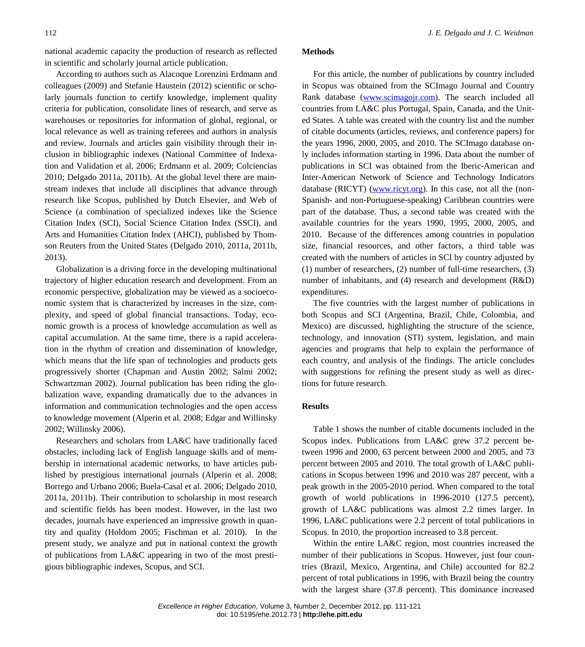national academic capacity the production of research as reflected in scientific and scholarly journal article publication.

According to authors such as Alacoque Lorenzini Erdmann and colleagues (2009) and Stefanie Haustein (2012) scientific or scholarly journals function to certify knowledge, implement quality criteria for publication, consolidate lines of research, and serve as warehouses or repositories for information of global, regional, or local relevance as well as training referees and authors in analysis and review. Journals and articles gain visibility through their inclusion in bibliographic indexes (National Committee of Indexation and Validation et al. 2006; Erdmann et al. 2009; Colciencias 2010; Delgado 2011a, 2011b). At the global level there are mainstream indexes that include all disciplines that advance through research like Scopus, published by Dutch Elsevier, and Web of Science (a combination of specialized indexes like the Science Citation Index (SCI), Social Science Citation Index (SSCI), and Arts and Humanities Citation Index (AHCI), published by Thomson Reuters from the United States (Delgado 2010, 2011a, 2011b, 2013).

Globalization is a driving force in the developing multinational trajectory of higher education research and development. From an economic perspective, globalization may be viewed as a socioeconomic system that is characterized by increases in the size, complexity, and speed of global financial transactions. Today, economic growth is a process of knowledge accumulation as well as capital accumulation. At the same time, there is a rapid acceleration in the rhythm of creation and dissemination of knowledge, which means that the life span of technologies and products gets progressively shorter (Chapman and Austin 2002; Salmi 2002; Schwartzman 2002). Journal publication has been riding the globalization wave, expanding dramatically due to the advances in information and communication technologies and the open access to knowledge movement (Alperin et al. 2008; Edgar and Willinsky 2002; Willinsky 2006).

Researchers and scholars from LA&C have traditionally faced obstacles, including lack of English language skills and of membership in international academic networks, to have articles published by prestigious international journals (Alperin et al. 2008; Borrego and Urbano 2006; Buela-Casal et al. 2006; Delgado 2010, 2011a, 2011b). Their contribution to scholarship in most research and scientific fields has been modest. However, in the last two decades, journals have experienced an impressive growth in quantity and quality (Holdom 2005; Fischman et al. 2010). In the present study, we analyze and put in national context the growth of publications from LA&C appearing in two of the most prestigious bibliographic indexes, Scopus, and SCI.

#### **Methods**

For this article, the number of publications by country included in Scopus was obtained from the SCImago Journal and Country Rank database [\(www.scimagojr.com\)](http://www.scimagojr.com/). The search included all countries from LA&C plus Portugal, Spain, Canada, and the United States. A table was created with the country list and the number of citable documents (articles, reviews, and conference papers) for the years 1996, 2000, 2005, and 2010. The SCImago database only includes information starting in 1996. Data about the number of publications in SCI was obtained from the Iberic-American and Inter-American Network of Science and Technology Indicators database (RICYT) [\(www.ricyt.org\)](http://www.ricyt.org/). In this case, not all the (non-Spanish- and non-Portuguese-speaking) Caribbean countries were part of the database. Thus, a second table was created with the available countries for the years 1990, 1995, 2000, 2005, and 2010. Because of the differences among countries in population size, financial resources, and other factors, a third table was created with the numbers of articles in SCI by country adjusted by (1) number of researchers, (2) number of full-time researchers, (3) number of inhabitants, and (4) research and development (R&D) expenditures.

The five countries with the largest number of publications in both Scopus and SCI (Argentina, Brazil, Chile, Colombia, and Mexico) are discussed, highlighting the structure of the science, technology, and innovation (STI) system, legislation, and main agencies and programs that help to explain the performance of each country, and analysis of the findings. The article concludes with suggestions for refining the present study as well as directions for future research.

# **Results**

Table 1 shows the number of citable documents included in the Scopus index. Publications from LA&C grew 37.2 percent between 1996 and 2000, 63 percent between 2000 and 2005, and 73 percent between 2005 and 2010. The total growth of LA&C publications in Scopus between 1996 and 2010 was 287 percent, with a peak growth in the 2005-2010 period. When compared to the total growth of world publications in 1996-2010 (127.5 percent), growth of LA&C publications was almost 2.2 times larger. In 1996, LA&C publications were 2.2 percent of total publications in Scopus. In 2010, the proportion increased to 3.8 percent.

Within the entire LA&C region, most countries increased the number of their publications in Scopus. However, just four countries (Brazil, Mexico, Argentina, and Chile) accounted for 82.2 percent of total publications in 1996, with Brazil being the country with the largest share (37.8 percent). This dominance increased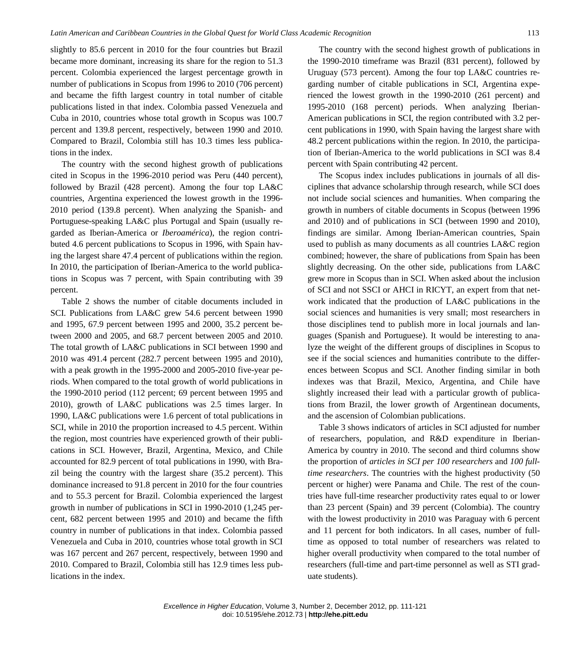slightly to 85.6 percent in 2010 for the four countries but Brazil became more dominant, increasing its share for the region to 51.3 percent. Colombia experienced the largest percentage growth in number of publications in Scopus from 1996 to 2010 (706 percent) and became the fifth largest country in total number of citable publications listed in that index. Colombia passed Venezuela and Cuba in 2010, countries whose total growth in Scopus was 100.7 percent and 139.8 percent, respectively, between 1990 and 2010. Compared to Brazil, Colombia still has 10.3 times less publications in the index.

The country with the second highest growth of publications cited in Scopus in the 1996-2010 period was Peru (440 percent), followed by Brazil (428 percent). Among the four top LA&C countries, Argentina experienced the lowest growth in the 1996- 2010 period (139.8 percent). When analyzing the Spanish- and Portuguese-speaking LA&C plus Portugal and Spain (usually regarded as Iberian-America or *Iberoamérica*), the region contributed 4.6 percent publications to Scopus in 1996, with Spain having the largest share 47.4 percent of publications within the region. In 2010, the participation of Iberian-America to the world publications in Scopus was 7 percent, with Spain contributing with 39 percent.

Table 2 shows the number of citable documents included in SCI. Publications from LA&C grew 54.6 percent between 1990 and 1995, 67.9 percent between 1995 and 2000, 35.2 percent between 2000 and 2005, and 68.7 percent between 2005 and 2010. The total growth of LA&C publications in SCI between 1990 and 2010 was 491.4 percent (282.7 percent between 1995 and 2010), with a peak growth in the 1995-2000 and 2005-2010 five-year periods. When compared to the total growth of world publications in the 1990-2010 period (112 percent; 69 percent between 1995 and 2010), growth of LA&C publications was 2.5 times larger. In 1990, LA&C publications were 1.6 percent of total publications in SCI, while in 2010 the proportion increased to 4.5 percent. Within the region, most countries have experienced growth of their publications in SCI. However, Brazil, Argentina, Mexico, and Chile accounted for 82.9 percent of total publications in 1990, with Brazil being the country with the largest share (35.2 percent). This dominance increased to 91.8 percent in 2010 for the four countries and to 55.3 percent for Brazil. Colombia experienced the largest growth in number of publications in SCI in 1990-2010 (1,245 percent, 682 percent between 1995 and 2010) and became the fifth country in number of publications in that index. Colombia passed Venezuela and Cuba in 2010, countries whose total growth in SCI was 167 percent and 267 percent, respectively, between 1990 and 2010. Compared to Brazil, Colombia still has 12.9 times less publications in the index.

The country with the second highest growth of publications in the 1990-2010 timeframe was Brazil (831 percent), followed by Uruguay (573 percent). Among the four top LA&C countries regarding number of citable publications in SCI, Argentina experienced the lowest growth in the 1990-2010 (261 percent) and 1995-2010 (168 percent) periods. When analyzing Iberian-American publications in SCI, the region contributed with 3.2 percent publications in 1990, with Spain having the largest share with 48.2 percent publications within the region. In 2010, the participation of Iberian-America to the world publications in SCI was 8.4 percent with Spain contributing 42 percent.

The Scopus index includes publications in journals of all disciplines that advance scholarship through research, while SCI does not include social sciences and humanities. When comparing the growth in numbers of citable documents in Scopus (between 1996 and 2010) and of publications in SCI (between 1990 and 2010), findings are similar. Among Iberian-American countries, Spain used to publish as many documents as all countries LA&C region combined; however, the share of publications from Spain has been slightly decreasing. On the other side, publications from LA&C grew more in Scopus than in SCI. When asked about the inclusion of SCI and not SSCI or AHCI in RICYT, an expert from that network indicated that the production of LA&C publications in the social sciences and humanities is very small; most researchers in those disciplines tend to publish more in local journals and languages (Spanish and Portuguese). It would be interesting to analyze the weight of the different groups of disciplines in Scopus to see if the social sciences and humanities contribute to the differences between Scopus and SCI. Another finding similar in both indexes was that Brazil, Mexico, Argentina, and Chile have slightly increased their lead with a particular growth of publications from Brazil, the lower growth of Argentinean documents, and the ascension of Colombian publications.

Table 3 shows indicators of articles in SCI adjusted for number of researchers, population, and R&D expenditure in Iberian-America by country in 2010. The second and third columns show the proportion of *articles in SCI per 100 researchers* and *100 fulltime researchers*. The countries with the highest productivity (50 percent or higher) were Panama and Chile. The rest of the countries have full-time researcher productivity rates equal to or lower than 23 percent (Spain) and 39 percent (Colombia). The country with the lowest productivity in 2010 was Paraguay with 6 percent and 11 percent for both indicators. In all cases, number of fulltime as opposed to total number of researchers was related to higher overall productivity when compared to the total number of researchers (full-time and part-time personnel as well as STI graduate students).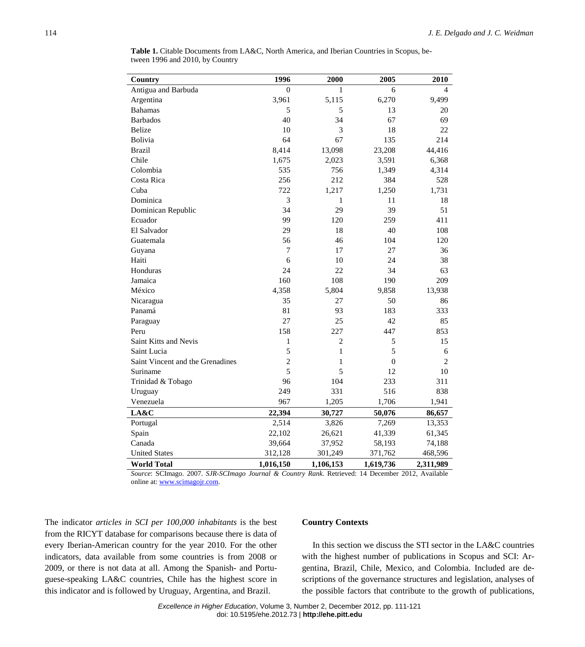| Country                          | 1996           | 2000           | 2005             | 2010           |
|----------------------------------|----------------|----------------|------------------|----------------|
| Antigua and Barbuda              | $\mathbf{0}$   | 1              | 6                | 4              |
| Argentina                        | 3,961          | 5,115          | 6,270            | 9,499          |
| <b>Bahamas</b>                   | 5              | 5              | 13               | 20             |
| <b>Barbados</b>                  | 40             | 34             | 67               | 69             |
| <b>Belize</b>                    | 10             | 3              | 18               | 22             |
| Bolivia                          | 64             | 67             | 135              | 214            |
| <b>Brazil</b>                    | 8,414          | 13,098         | 23,208           | 44,416         |
| Chile                            | 1,675          | 2,023          | 3,591            | 6,368          |
| Colombia                         | 535            | 756            | 1,349            | 4,314          |
| Costa Rica                       | 256            | 212            | 384              | 528            |
| Cuba                             | 722            | 1,217          | 1,250            | 1,731          |
| Dominica                         | 3              | 1              | 11               | 18             |
| Dominican Republic               | 34             | 29             | 39               | 51             |
| Ecuador                          | 99             | 120            | 259              | 411            |
| El Salvador                      | 29             | 18             | 40               | 108            |
| Guatemala                        | 56             | 46             | 104              | 120            |
| Guyana                           | $\tau$         | 17             | 27               | 36             |
| Haiti                            | 6              | 10             | 24               | 38             |
| Honduras                         | 24             | 22             | 34               | 63             |
| Jamaica                          | 160            | 108            | 190              | 209            |
| México                           | 4,358          | 5,804          | 9,858            | 13,938         |
| Nicaragua                        | 35             | 27             | 50               | 86             |
| Panamá                           | 81             | 93             | 183              | 333            |
| Paraguay                         | 27             | 25             | 42               | 85             |
| Peru                             | 158            | 227            | 447              | 853            |
| Saint Kitts and Nevis            | $\mathbf{1}$   | $\overline{2}$ | 5                | 15             |
| Saint Lucia                      | 5              | $\mathbf{1}$   | 5                | 6              |
| Saint Vincent and the Grenadines | $\overline{c}$ | 1              | $\boldsymbol{0}$ | $\overline{2}$ |
| Suriname                         | 5              | 5              | 12               | 10             |
| Trinidad & Tobago                | 96             | 104            | 233              | 311            |
| Uruguay                          | 249            | 331            | 516              | 838            |
| Venezuela                        | 967            | 1,205          | 1,706            | 1,941          |
| LA&C                             | 22,394         | 30,727         | 50,076           | 86,657         |
| Portugal                         | 2,514          | 3,826          | 7,269            | 13,353         |
| Spain                            | 22,102         | 26,621         | 41,339           | 61,345         |
| Canada                           | 39,664         | 37,952         | 58,193           | 74,188         |
| <b>United States</b>             | 312,128        | 301,249        | 371,762          | 468,596        |
| <b>World Total</b>               | 1,016,150      | 1,106,153      | 1,619,736        | 2,311,989      |

**Table 1.** Citable Documents from LA&C, North America, and Iberian Countries in Scopus, between 1996 and 2010, by Country

*Source*: SCImago. 2007. *SJR-SCImago Journal & Country Rank*. Retrieved: 14 December 2012, Available online at[: www.scimagojr.com.](http://www.scimagojr.com/)

The indicator *articles in SCI per 100,000 inhabitants* is the best from the RICYT database for comparisons because there is data of every Iberian-American country for the year 2010. For the other indicators, data available from some countries is from 2008 or 2009, or there is not data at all. Among the Spanish- and Portuguese-speaking LA&C countries, Chile has the highest score in this indicator and is followed by Uruguay, Argentina, and Brazil.

# **Country Contexts**

In this section we discuss the STI sector in the LA&C countries with the highest number of publications in Scopus and SCI: Argentina, Brazil, Chile, Mexico, and Colombia. Included are descriptions of the governance structures and legislation, analyses of the possible factors that contribute to the growth of publications,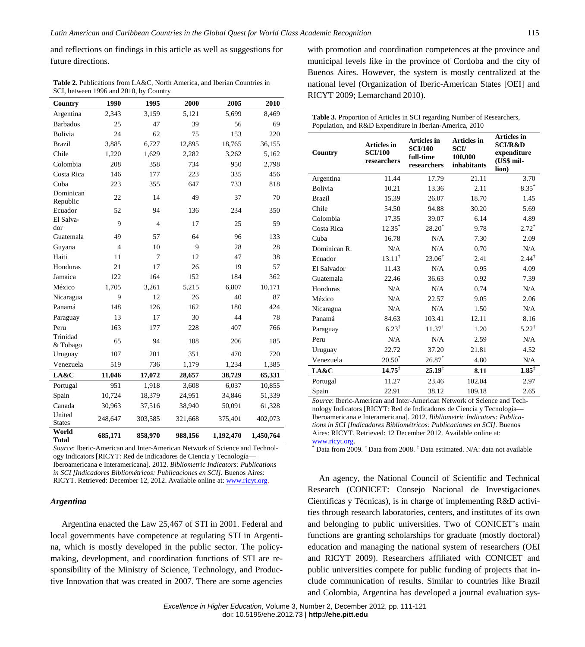and reflections on findings in this article as well as suggestions for future directions.

**Table 2.** Publications from LA&C, North America, and Iberian Countries in SCI, between 1996 and 2010, by Country

| Country                 | 1990    | 1995           | 2000    | 2005      | 2010      |
|-------------------------|---------|----------------|---------|-----------|-----------|
| Argentina               | 2,343   | 3,159          | 5,121   | 5,699     | 8,469     |
| <b>Barbados</b>         | 25      | 47             | 39      | 56        | 69        |
| Bolivia                 | 24      | 62             | 75      | 153       | 220       |
| <b>Brazil</b>           | 3,885   | 6,727          | 12,895  | 18,765    | 36,155    |
| Chile                   | 1,220   | 1,629          | 2,282   | 3,262     | 5,162     |
| Colombia                | 208     | 358            | 734     | 950       | 2,798     |
| Costa Rica              | 146     | 177            | 223     | 335       | 456       |
| Cuba                    | 223     | 355            | 647     | 733       | 818       |
| Dominican<br>Republic   | 22      | 14             | 49      | 37        | 70        |
| Ecuador                 | 52      | 94             | 136     | 234       | 350       |
| El Salva-<br>dor        | 9       | $\overline{4}$ | 17      | 25        | 59        |
| Guatemala               | 49      | 57             | 64      | 96        | 133       |
| Guyana                  | 4       | 10             | 9       | 28        | 28        |
| Haiti                   | 11      | 7              | 12      | 47        | 38        |
| Honduras                | 21      | 17             | 26      | 19        | 57        |
| Jamaica                 | 122     | 164            | 152     | 184       | 362       |
| México                  | 1,705   | 3,261          | 5,215   | 6,807     | 10,171    |
| Nicaragua               | 9       | 12             | 26      | 40        | 87        |
| Panamá                  | 148     | 126            | 162     | 180       | 424       |
| Paraguay                | 13      | 17             | 30      | 44        | 78        |
| Peru                    | 163     | 177            | 228     | 407       | 766       |
| Trinidad<br>& Tobago    | 65      | 94             | 108     | 206       | 185       |
| Uruguay                 | 107     | 201            | 351     | 470       | 720       |
| Venezuela               | 519     | 736            | 1,179   | 1,234     | 1,385     |
| LA&C                    | 11,046  | 17,072         | 28,657  | 38,729    | 65,331    |
| Portugal                | 951     | 1,918          | 3,608   | 6,037     | 10,855    |
| Spain                   | 10,724  | 18,379         | 24,951  | 34,846    | 51,339    |
| Canada                  | 30,963  | 37,516         | 38,940  | 50,091    | 61,328    |
| United<br><b>States</b> | 248,647 | 303,585        | 321,668 | 375,401   | 402,073   |
| World<br><b>Total</b>   | 685,171 | 858,970        | 988,156 | 1,192,470 | 1,450,764 |

*Source*: Iberic-American and Inter-American Network of Science and Technology Indicators [RICYT: Red de Indicadores de Ciencia y Tecnología— Iberoamericana e Interamericana]. 2012. *Bibliometric Indicators: Publications in SCI [Indicadores Bibliométricos: Publicaciones en SCI].* Buenos Aires: RICYT. Retrieved: December 12, 2012. Available online at: [www.ricyt.org.](http://www.ricyt.org/) 

#### *Argentina*

Argentina enacted the Law 25,467 of STI in 2001. Federal and local governments have competence at regulating STI in Argentina, which is mostly developed in the public sector. The policymaking, development, and coordination functions of STI are responsibility of the Ministry of Science, Technology, and Productive Innovation that was created in 2007. There are some agencies with promotion and coordination competences at the province and municipal levels like in the province of Cordoba and the city of Buenos Aires. However, the system is mostly centralized at the national level (Organization of Iberic-American States [OEI] and RICYT 2009; Lemarchand 2010).

**Table 3.** Proportion of Articles in SCI regarding Number of Researchers, Population, and R&D Expenditure in Iberian-America, 2010

| Country       | <b>Articles</b> in<br><b>SCI/100</b><br>researchers | <b>Articles in</b><br><b>SCI/100</b><br>full-time<br>researchers | <b>Articles</b> in<br><b>SCI/</b><br>100,000<br>inhabitants | Articles in<br><b>SCI/R&amp;D</b><br>expenditure<br>(US\$ mil-<br>lion) |
|---------------|-----------------------------------------------------|------------------------------------------------------------------|-------------------------------------------------------------|-------------------------------------------------------------------------|
| Argentina     | 11.44                                               | 17.79                                                            | 21.11                                                       | 3.70                                                                    |
| Bolivia       | 10.21                                               | 13.36                                                            | 2.11                                                        | $8.35*$                                                                 |
| <b>Brazil</b> | 15.39                                               | 26.07                                                            | 18.70                                                       | 1.45                                                                    |
| Chile         | 54.50                                               | 94.88                                                            | 30.20                                                       | 5.69                                                                    |
| Colombia      | 17.35                                               | 39.07                                                            | 6.14                                                        | 4.89                                                                    |
| Costa Rica    | $12.35*$                                            | $28.20*$                                                         | 9.78                                                        | $2.72*$                                                                 |
| Cuba          | 16.78                                               | N/A                                                              | 7.30                                                        | 2.09                                                                    |
| Dominican R.  | N/A                                                 | N/A                                                              | 0.70                                                        | N/A                                                                     |
| Ecuador       | $13.11^{\dagger}$                                   | $23.06^{\dagger}$                                                | 2.41                                                        | $2.44^{\dagger}$                                                        |
| El Salvador   | 11.43                                               | N/A                                                              | 0.95                                                        | 4.09                                                                    |
| Guatemala     | 22.46                                               | 36.63                                                            | 0.92                                                        | 7.39                                                                    |
| Honduras      | N/A                                                 | N/A                                                              | 0.74                                                        | N/A                                                                     |
| México        | N/A                                                 | 22.57                                                            | 9.05                                                        | 2.06                                                                    |
| Nicaragua     | N/A                                                 | N/A                                                              | 1.50                                                        | N/A                                                                     |
| Panamá        | 84.63                                               | 103.41                                                           | 12.11                                                       | 8.16                                                                    |
| Paraguay      | $6.23^{\dagger}$                                    | $11.37^{\dagger}$                                                | 1.20                                                        | $5.22^{\dagger}$                                                        |
| Peru          | N/A                                                 | N/A                                                              | 2.59                                                        | N/A                                                                     |
| Uruguay       | 22.72                                               | 37.20                                                            | 21.81                                                       | 4.52                                                                    |
| Venezuela     | $20.50*$                                            | $26.87*$                                                         | 4.80                                                        | N/A                                                                     |
| LA&C          | $14.75^{\ddagger}$                                  | $25.19^{\ddagger}$                                               | 8.11                                                        | $1.85^{\ddagger}$                                                       |
| Portugal      | 11.27                                               | 23.46                                                            | 102.04                                                      | 2.97                                                                    |
| Spain         | 22.91                                               | 38.12                                                            | 109.18                                                      | 2.65                                                                    |

*Source*: Iberic-American and Inter-American Network of Science and Technology Indicators [RICYT: Red de Indicadores de Ciencia y Tecnología— Iberoamericana e Interamericana]. 2012. *Bibliometric Indicators: Publications in SCI [Indicadores Bibliométricos: Publicaciones en SCI].* Buenos Aires: RICYT. Retrieved: 12 December 2012. Available online at: [www.ricyt.org.](http://www.ricyt.org/)<br> $*$  Data from 2009. <sup>†</sup> Data from 2008.  $*$  Data estimated. N/A: data not available

An agency, the National Council of Scientific and Technical Research (CONICET: Consejo Nacional de Investigaciones Científicas y Técnicas), is in charge of implementing R&D activities through research laboratories, centers, and institutes of its own and belonging to public universities. Two of CONICET's main functions are granting scholarships for graduate (mostly doctoral) education and managing the national system of researchers (OEI and RICYT 2009). Researchers affiliated with CONICET and public universities compete for public funding of projects that include communication of results. Similar to countries like Brazil and Colombia, Argentina has developed a journal evaluation sys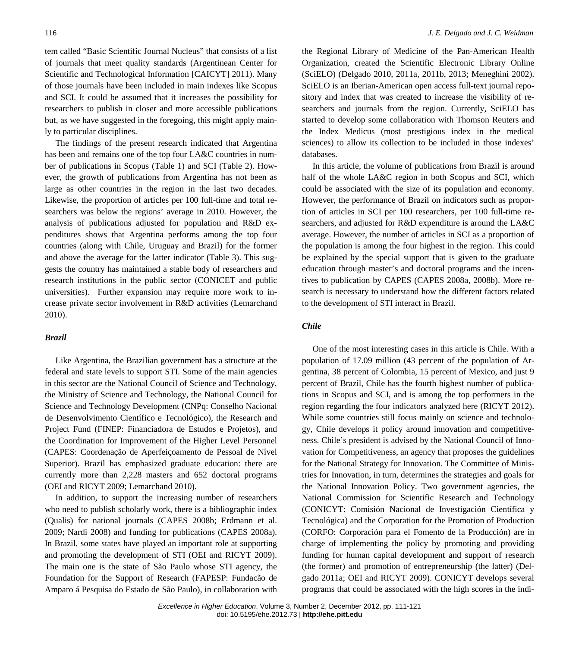tem called "Basic Scientific Journal Nucleus" that consists of a list of journals that meet quality standards (Argentinean Center for Scientific and Technological Information [CAICYT] 2011). Many of those journals have been included in main indexes like Scopus and SCI. It could be assumed that it increases the possibility for researchers to publish in closer and more accessible publications but, as we have suggested in the foregoing, this might apply mainly to particular disciplines.

The findings of the present research indicated that Argentina has been and remains one of the top four LA&C countries in number of publications in Scopus (Table 1) and SCI (Table 2). However, the growth of publications from Argentina has not been as large as other countries in the region in the last two decades. Likewise, the proportion of articles per 100 full-time and total researchers was below the regions' average in 2010. However, the analysis of publications adjusted for population and R&D expenditures shows that Argentina performs among the top four countries (along with Chile, Uruguay and Brazil) for the former and above the average for the latter indicator (Table 3). This suggests the country has maintained a stable body of researchers and research institutions in the public sector (CONICET and public universities). Further expansion may require more work to increase private sector involvement in R&D activities (Lemarchand 2010).

# *Brazil*

Like Argentina, the Brazilian government has a structure at the federal and state levels to support STI. Some of the main agencies in this sector are the National Council of Science and Technology, the Ministry of Science and Technology, the National Council for Science and Technology Development (CNPq: Conselho Nacional de Desenvolvimento Científico e Tecnológico), the Research and Project Fund (FINEP: Financiadora de Estudos e Projetos), and the Coordination for Improvement of the Higher Level Personnel (CAPES: Coordenação de Aperfeiçoamento de Pessoal de Nível Superior). Brazil has emphasized graduate education: there are currently more than 2,228 masters and 652 doctoral programs (OEI and RICYT 2009; Lemarchand 2010).

In addition, to support the increasing number of researchers who need to publish scholarly work, there is a bibliographic index (Qualis) for national journals (CAPES 2008b; Erdmann et al. 2009; Nardi 2008) and funding for publications (CAPES 2008a). In Brazil, some states have played an important role at supporting and promoting the development of STI (OEI and RICYT 2009). The main one is the state of São Paulo whose STI agency, the Foundation for the Support of Research (FAPESP: Fundacão de Amparo á Pesquisa do Estado de São Paulo), in collaboration with

the Regional Library of Medicine of the Pan-American Health Organization, created the Scientific Electronic Library Online (SciELO) (Delgado 2010, 2011a, 2011b, 2013; Meneghini 2002). SciELO is an Iberian-American open access full-text journal repository and index that was created to increase the visibility of researchers and journals from the region. Currently, SciELO has started to develop some collaboration with Thomson Reuters and the Index Medicus (most prestigious index in the medical sciences) to allow its collection to be included in those indexes' databases.

In this article, the volume of publications from Brazil is around half of the whole LA&C region in both Scopus and SCI, which could be associated with the size of its population and economy. However, the performance of Brazil on indicators such as proportion of articles in SCI per 100 researchers, per 100 full-time researchers, and adjusted for R&D expenditure is around the LA&C average. However, the number of articles in SCI as a proportion of the population is among the four highest in the region. This could be explained by the special support that is given to the graduate education through master's and doctoral programs and the incentives to publication by CAPES (CAPES 2008a, 2008b). More research is necessary to understand how the different factors related to the development of STI interact in Brazil.

# *Chile*

One of the most interesting cases in this article is Chile. With a population of 17.09 million (43 percent of the population of Argentina, 38 percent of Colombia, 15 percent of Mexico, and just 9 percent of Brazil, Chile has the fourth highest number of publications in Scopus and SCI, and is among the top performers in the region regarding the four indicators analyzed here (RICYT 2012). While some countries still focus mainly on science and technology, Chile develops it policy around innovation and competitiveness. Chile's president is advised by the National Council of Innovation for Competitiveness, an agency that proposes the guidelines for the National Strategy for Innovation. The Committee of Ministries for Innovation, in turn, determines the strategies and goals for the National Innovation Policy. Two government agencies, the National Commission for Scientific Research and Technology (CONICYT: Comisión Nacional de Investigación Científica y Tecnológica) and the Corporation for the Promotion of Production (CORFO: Corporación para el Fomento de la Producción) are in charge of implementing the policy by promoting and providing funding for human capital development and support of research (the former) and promotion of entrepreneurship (the latter) (Delgado 2011a; OEI and RICYT 2009). CONICYT develops several programs that could be associated with the high scores in the indi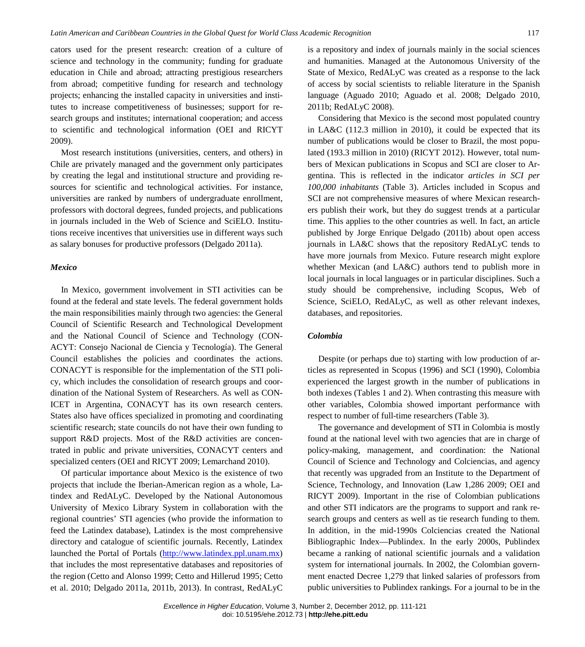cators used for the present research: creation of a culture of science and technology in the community; funding for graduate education in Chile and abroad; attracting prestigious researchers from abroad; competitive funding for research and technology projects; enhancing the installed capacity in universities and institutes to increase competitiveness of businesses; support for research groups and institutes; international cooperation; and access to scientific and technological information (OEI and RICYT 2009).

Most research institutions (universities, centers, and others) in Chile are privately managed and the government only participates by creating the legal and institutional structure and providing resources for scientific and technological activities. For instance, universities are ranked by numbers of undergraduate enrollment, professors with doctoral degrees, funded projects, and publications in journals included in the Web of Science and SciELO. Institutions receive incentives that universities use in different ways such as salary bonuses for productive professors (Delgado 2011a).

# *Mexico*

In Mexico, government involvement in STI activities can be found at the federal and state levels. The federal government holds the main responsibilities mainly through two agencies: the General Council of Scientific Research and Technological Development and the National Council of Science and Technology (CON-ACYT: Consejo Nacional de Ciencia y Tecnología). The General Council establishes the policies and coordinates the actions. CONACYT is responsible for the implementation of the STI policy, which includes the consolidation of research groups and coordination of the National System of Researchers. As well as CON-ICET in Argentina, CONACYT has its own research centers. States also have offices specialized in promoting and coordinating scientific research; state councils do not have their own funding to support R&D projects. Most of the R&D activities are concentrated in public and private universities, CONACYT centers and specialized centers (OEI and RICYT 2009; Lemarchand 2010).

Of particular importance about Mexico is the existence of two projects that include the Iberian-American region as a whole, Latindex and RedALyC. Developed by the National Autonomous University of Mexico Library System in collaboration with the regional countries' STI agencies (who provide the information to feed the Latindex database), Latindex is the most comprehensive directory and catalogue of scientific journals. Recently, Latindex launched the Portal of Portals [\(http://www.latindex.ppl.unam.mx\)](http://www.latindex.ppl.unam.mx/) that includes the most representative databases and repositories of the region (Cetto and Alonso 1999; Cetto and Hillerud 1995; Cetto et al. 2010; Delgado 2011a, 2011b, 2013). In contrast, RedALyC

is a repository and index of journals mainly in the social sciences and humanities. Managed at the Autonomous University of the State of Mexico, RedALyC was created as a response to the lack of access by social scientists to reliable literature in the Spanish language (Aguado 2010; Aguado et al. 2008; Delgado 2010, 2011b; RedALyC 2008).

Considering that Mexico is the second most populated country in LA&C (112.3 million in 2010), it could be expected that its number of publications would be closer to Brazil, the most populated (193.3 million in 2010) (RICYT 2012). However, total numbers of Mexican publications in Scopus and SCI are closer to Argentina. This is reflected in the indicator *articles in SCI per 100,000 inhabitants* (Table 3). Articles included in Scopus and SCI are not comprehensive measures of where Mexican researchers publish their work, but they do suggest trends at a particular time. This applies to the other countries as well. In fact, an article published by Jorge Enrique Delgado (2011b) about open access journals in LA&C shows that the repository RedALyC tends to have more journals from Mexico. Future research might explore whether Mexican (and LA&C) authors tend to publish more in local journals in local languages or in particular disciplines. Such a study should be comprehensive, including Scopus, Web of Science, SciELO, RedALyC, as well as other relevant indexes, databases, and repositories.

#### *Colombia*

Despite (or perhaps due to) starting with low production of articles as represented in Scopus (1996) and SCI (1990), Colombia experienced the largest growth in the number of publications in both indexes (Tables 1 and 2). When contrasting this measure with other variables, Colombia showed important performance with respect to number of full-time researchers (Table 3).

The governance and development of STI in Colombia is mostly found at the national level with two agencies that are in charge of policy-making, management, and coordination: the National Council of Science and Technology and Colciencias, and agency that recently was upgraded from an Institute to the Department of Science, Technology, and Innovation (Law 1,286 2009; OEI and RICYT 2009). Important in the rise of Colombian publications and other STI indicators are the programs to support and rank research groups and centers as well as tie research funding to them. In addition, in the mid-1990s Colciencias created the National Bibliographic Index—Publindex. In the early 2000s, Publindex became a ranking of national scientific journals and a validation system for international journals. In 2002, the Colombian government enacted Decree 1,279 that linked salaries of professors from public universities to Publindex rankings. For a journal to be in the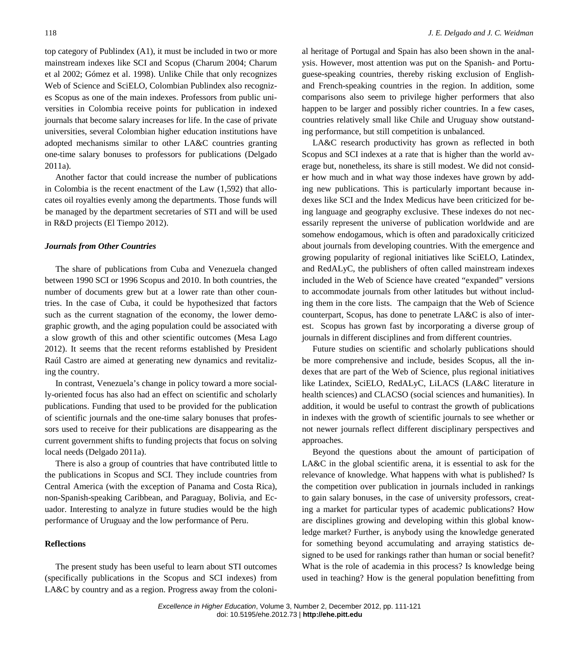top category of Publindex (A1), it must be included in two or more mainstream indexes like SCI and Scopus (Charum 2004; Charum et al 2002; Gómez et al. 1998). Unlike Chile that only recognizes Web of Science and SciELO, Colombian Publindex also recognizes Scopus as one of the main indexes. Professors from public universities in Colombia receive points for publication in indexed journals that become salary increases for life. In the case of private universities, several Colombian higher education institutions have adopted mechanisms similar to other LA&C countries granting one-time salary bonuses to professors for publications (Delgado 2011a).

Another factor that could increase the number of publications in Colombia is the recent enactment of the Law (1,592) that allocates oil royalties evenly among the departments. Those funds will be managed by the department secretaries of STI and will be used in R&D projects (El Tiempo 2012).

### *Journals from Other Countries*

The share of publications from Cuba and Venezuela changed between 1990 SCI or 1996 Scopus and 2010. In both countries, the number of documents grew but at a lower rate than other countries. In the case of Cuba, it could be hypothesized that factors such as the current stagnation of the economy, the lower demographic growth, and the aging population could be associated with a slow growth of this and other scientific outcomes (Mesa Lago 2012). It seems that the recent reforms established by President Raúl Castro are aimed at generating new dynamics and revitalizing the country.

In contrast, Venezuela's change in policy toward a more socially-oriented focus has also had an effect on scientific and scholarly publications. Funding that used to be provided for the publication of scientific journals and the one-time salary bonuses that professors used to receive for their publications are disappearing as the current government shifts to funding projects that focus on solving local needs (Delgado 2011a).

There is also a group of countries that have contributed little to the publications in Scopus and SCI. They include countries from Central America (with the exception of Panama and Costa Rica), non-Spanish-speaking Caribbean, and Paraguay, Bolivia, and Ecuador. Interesting to analyze in future studies would be the high performance of Uruguay and the low performance of Peru.

# **Reflections**

The present study has been useful to learn about STI outcomes (specifically publications in the Scopus and SCI indexes) from LA&C by country and as a region. Progress away from the coloni-

al heritage of Portugal and Spain has also been shown in the analysis. However, most attention was put on the Spanish- and Portuguese-speaking countries, thereby risking exclusion of Englishand French-speaking countries in the region. In addition, some comparisons also seem to privilege higher performers that also happen to be larger and possibly richer countries. In a few cases, countries relatively small like Chile and Uruguay show outstanding performance, but still competition is unbalanced.

LA&C research productivity has grown as reflected in both Scopus and SCI indexes at a rate that is higher than the world average but, nonetheless, its share is still modest. We did not consider how much and in what way those indexes have grown by adding new publications. This is particularly important because indexes like SCI and the Index Medicus have been criticized for being language and geography exclusive. These indexes do not necessarily represent the universe of publication worldwide and are somehow endogamous, which is often and paradoxically criticized about journals from developing countries. With the emergence and growing popularity of regional initiatives like SciELO, Latindex, and RedALyC, the publishers of often called mainstream indexes included in the Web of Science have created "expanded" versions to accommodate journals from other latitudes but without including them in the core lists. The campaign that the Web of Science counterpart, Scopus, has done to penetrate LA&C is also of interest. Scopus has grown fast by incorporating a diverse group of journals in different disciplines and from different countries.

Future studies on scientific and scholarly publications should be more comprehensive and include, besides Scopus, all the indexes that are part of the Web of Science, plus regional initiatives like Latindex, SciELO, RedALyC, LiLACS (LA&C literature in health sciences) and CLACSO (social sciences and humanities). In addition, it would be useful to contrast the growth of publications in indexes with the growth of scientific journals to see whether or not newer journals reflect different disciplinary perspectives and approaches.

Beyond the questions about the amount of participation of LA&C in the global scientific arena, it is essential to ask for the relevance of knowledge. What happens with what is published? Is the competition over publication in journals included in rankings to gain salary bonuses, in the case of university professors, creating a market for particular types of academic publications? How are disciplines growing and developing within this global knowledge market? Further, is anybody using the knowledge generated for something beyond accumulating and arraying statistics designed to be used for rankings rather than human or social benefit? What is the role of academia in this process? Is knowledge being used in teaching? How is the general population benefitting from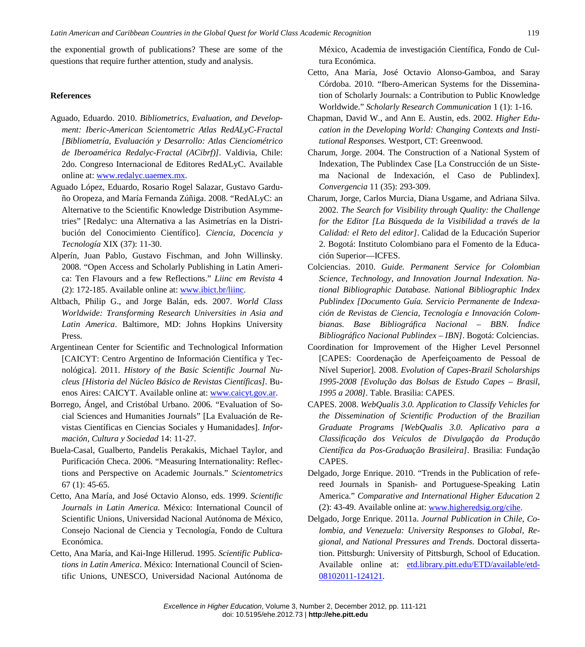the exponential growth of publications? These are some of the questions that require further attention, study and analysis.

## **References**

- Aguado, Eduardo. 2010. *Bibliometrics, Evaluation, and Development: Iberic-American Scientometric Atlas RedALyC-Fractal [Bibliometría, Evaluación y Desarrollo: Atlas Cienciométrico de Iberoamérica Redalyc-Fractal (ACibrf)]*. Valdivia, Chile: 2do. Congreso Internacional de Editores RedALyC. Available online at: [www.redalyc.uaemex.mx.](http://www.redalyc.uaemex.mx/)
- Aguado López, Eduardo, Rosario Rogel Salazar, Gustavo Garduño Oropeza, and María Fernanda Zúñiga. 2008. "RedALyC: an Alternative to the Scientific Knowledge Distribution Asymmetries" [Redalyc: una Alternativa a las Asimetrías en la Distribución del Conocimiento Científico]. *Ciencia, Docencia y Tecnología* XIX (37): 11-30.
- Alperín, Juan Pablo, Gustavo Fischman, and John Willinsky. 2008. "Open Access and Scholarly Publishing in Latin America: Ten Flavours and a few Reflections." *Liinc em Revista* 4 (2): 172-185. Available online at: [www.ibict.br/liinc.](http://www.ibict.br/liinc)
- Altbach, Philip G., and Jorge Balán, eds. 2007. *World Class Worldwide: Transforming Research Universities in Asia and Latin America*. Baltimore, MD: Johns Hopkins University Press.
- Argentinean Center for Scientific and Technological Information [CAICYT: Centro Argentino de Información Científica y Tecnológica]. 2011. *History of the Basic Scientific Journal Nucleus [Historia del Núcleo Básico de Revistas Científicas].* Buenos Aires: CAICYT. Available online at: [www.caicyt.gov.ar.](http://www.caicyt.gov.ar/)
- Borrego, Ángel, and Cristóbal Urbano. 2006. "Evaluation of Social Sciences and Humanities Journals" [La Evaluación de Revistas Científicas en Ciencias Sociales y Humanidades]. *Información, Cultura y Sociedad* 14: 11-27.
- Buela-Casal, Gualberto, Pandelis Perakakis, Michael Taylor, and Purificación Checa. 2006. "Measuring Internationality: Reflections and Perspective on Academic Journals." *Scientometrics*  67 (1): 45-65.
- Cetto, Ana María, and José Octavio Alonso, eds. 1999. *Scientific Journals in Latin America*. México: International Council of Scientific Unions, Universidad Nacional Autónoma de México, Consejo Nacional de Ciencia y Tecnología, Fondo de Cultura Económica.
- Cetto, Ana María, and Kai-Inge Hillerud. 1995. *Scientific Publications in Latin America*. México: International Council of Scientific Unions, UNESCO, Universidad Nacional Autónoma de

México, Academia de investigación Científica, Fondo de Cultura Económica.

- Cetto, Ana María, José Octavio Alonso-Gamboa, and Saray Córdoba. 2010. "Ibero-American Systems for the Dissemination of Scholarly Journals: a Contribution to Public Knowledge Worldwide." *Scholarly Research Communication* 1 (1): 1-16.
- Chapman, David W., and Ann E. Austin, eds. 2002. *Higher Education in the Developing World: Changing Contexts and Institutional Responses.* Westport, CT: Greenwood.
- Charum, Jorge. 2004. The Construction of a National System of Indexation, The Publindex Case [La Construcción de un Sistema Nacional de Indexación, el Caso de Publindex]. *Convergencia* 11 (35): 293-309.
- Charum, Jorge, Carlos Murcia, Diana Usgame, and Adriana Silva. 2002. *The Search for Visibility through Quality: the Challenge for the Editor [La Búsqueda de la Visibilidad a través de la Calidad: el Reto del editor]*. Calidad de la Educación Superior 2. Bogotá: Instituto Colombiano para el Fomento de la Educación Superior—ICFES.
- Colciencias. 2010. *Guide. Permanent Service for Colombian Science, Technology, and Innovation Journal Indexation. National Bibliographic Database. National Bibliographic Index Publindex [Documento Guía. Servicio Permanente de Indexación de Revistas de Ciencia, Tecnología e Innovación Colombianas. Base Bibliográfica Nacional – BBN. Índice Bibliográfico Nacional Publindex – IBN]*. Bogotá: Colciencias.
- Coordination for Improvement of the Higher Level Personnel [CAPES: Coordenação de Aperfeiçoamento de Pessoal de Nível Superior]. 2008. *Evolution of Capes-Brazil Scholarships 1995-2008 [Evolução das Bolsas de Estudo Capes – Brasil, 1995 a 2008]*. Table. Brasilia: CAPES.
- CAPES. 2008. *WebQualis 3.0. Application to Classify Vehicles for the Dissemination of Scientific Production of the Brazilian Graduate Programs [WebQualis 3.0. Aplicativo para a Classificação dos Veículos de Divulgação da Produção Científica da Pos-Graduação Brasileira]*. Brasilia: Fundação CAPES.
- Delgado, Jorge Enrique. 2010. "Trends in the Publication of refereed Journals in Spanish- and Portuguese-Speaking Latin America." *Comparative and International Higher Education* 2 (2): 43-49. Available online at: [www.higheredsig.org/cihe.](http://www.higheredsig.org/cihe)
- Delgado, Jorge Enrique. 2011a. *Journal Publication in Chile, Colombia, and Venezuela: University Responses to Global, Regional, and National Pressures and Trends*. Doctoral dissertation. Pittsburgh: University of Pittsburgh, School of Education. Available online at: [etd.library.pitt.edu/ETD/available/etd-](http://etd.library.pitt.edu/ETD/available/etd-08102011-124121)[08102011-124121.](http://etd.library.pitt.edu/ETD/available/etd-08102011-124121)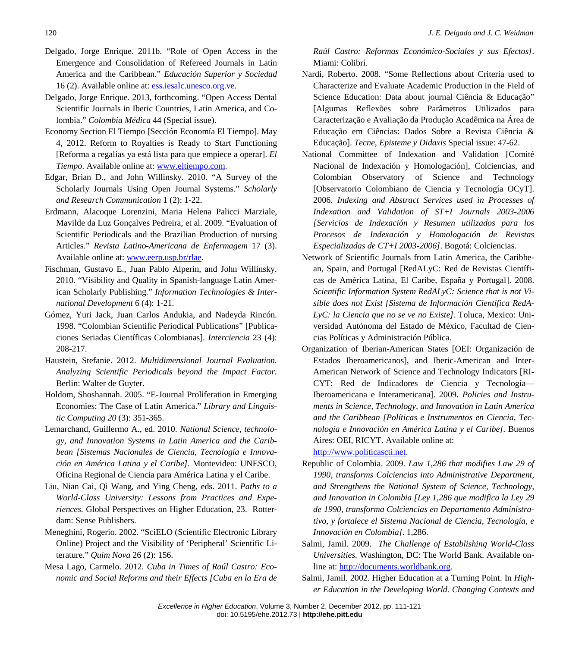- Delgado, Jorge Enrique. 2011b. "Role of Open Access in the Emergence and Consolidation of Refereed Journals in Latin America and the Caribbean." *Educación Superior y Sociedad* 16 (2). Available online at: [ess.iesalc.unesco.org.ve.](http://www.ess.iesalc.unesco.org.ve/)
- Delgado, Jorge Enrique. 2013, forthcoming. "Open Access Dental Scientific Journals in Iberic Countries, Latin America, and Colombia." *Colombia Médica* 44 (Special issue).
- Economy Section El Tiempo [Sección Economía El Tiempo]. May 4, 2012. Reform to Royalties is Ready to Start Functioning [Reforma a regalías ya está lista para que empiece a operar]. *El Tiempo*. Available online at: [www.eltiempo.com.](http://www.eltiempo.com/)
- Edgar, Brian D., and John Willinsky. 2010. "A Survey of the Scholarly Journals Using Open Journal Systems." *Scholarly and Research Communication* 1 (2): 1-22.
- Erdmann, Alacoque Lorenzini, Maria Helena Palicci Marziale, Mavilde da Luz Gonçalves Pedreira, et al. 2009. "Evaluation of Scientific Periodicals and the Brazilian Production of nursing Articles." *Revista Latino-Americana de Enfermagem* 17 (3). Available online at: [www.eerp.usp.br/rlae.](http://www.eerp.usp.br/rlae)
- Fischman, Gustavo E., Juan Pablo Alperín, and John Willinsky. 2010. "Visibility and Quality in Spanish-language Latin American Scholarly Publishing." *Information Technologies & International Development* 6 (4): 1-21.
- Gómez, Yuri Jack, Juan Carlos Andukia, and Nadeyda Rincón. 1998. "Colombian Scientific Periodical Publications" [Publicaciones Seriadas Científicas Colombianas]. *Interciencia* 23 (4): 208-217.
- Haustein, Stefanie. 2012. *Multidimensional Journal Evaluation. Analyzing Scientific Periodicals beyond the Impact Factor.* Berlin: Walter de Guyter.
- Holdom, Shoshannah. 2005. "E-Journal Proliferation in Emerging Economies: The Case of Latin America." *Library and Linguistic Computing 20* (3): 351-365.
- Lemarchand, Guillermo A., ed. 2010. *National Science, technology, and Innovation Systems in Latin America and the Caribbean [Sistemas Nacionales de Ciencia, Tecnología e Innovación en América Latina y el Caribe]*. Montevideo: UNESCO, Oficina Regional de Ciencia para América Latina y el Caribe.
- Liu, Nian Cai, Qi Wang, and Ying Cheng, eds. 2011. *Paths to a World-Class University: Lessons from Practices and Experiences.* Global Perspectives on Higher Education, 23. Rotterdam: Sense Publishers.
- Meneghini, Rogerio. 2002. "SciELO (Scientific Electronic Library Online) Project and the Visibility of 'Peripheral' Scientific Literature." *Quim Nova* 26 (2): 156.
- Mesa Lago, Carmelo. 2012. *Cuba in Times of Raúl Castro: Economic and Social Reforms and their Effects [Cuba en la Era de*

*Raúl Castro: Reformas Económico-Sociales y sus Efectos]*. Miami: Colibrí.

- Nardi, Roberto. 2008. "Some Reflections about Criteria used to Characterize and Evaluate Academic Production in the Field of Science Education: Data about journal Ciência & Educação" [Algumas Reflexões sobre Parâmetros Utilizados para Caracterização e Avaliação da Produção Acadêmica na Área de Educação em Ciências: Dados Sobre a Revista Ciência & Educação]. *Tecne, Episteme y Didaxis* Special issue: 47-62.
- National Committee of Indexation and Validation [Comité Nacional de Indexación y Homologación], Colciencias, and Colombian Observatory of Science and Technology [Observatorio Colombiano de Ciencia y Tecnología OCyT]. 2006. *Indexing and Abstract Services used in Processes of Indexation and Validation of ST+I Journals 2003-2006 [Servicios de Indexación y Resumen utilizados para los Procesos de Indexación y Homologación de Revistas Especializadas de CT+I 2003-2006]*. Bogotá: Colciencias.
- Network of Scientific Journals from Latin America, the Caribbean, Spain, and Portugal [RedALyC: Red de Revistas Científicas de América Latina, El Caribe, España y Portugal]. 2008. *Scientific Information System RedALyC: Science that is not Visible does not Exist [Sistema de Información Científica RedA-LyC: la Ciencia que no se ve no Existe]*. Toluca, Mexico: Universidad Autónoma del Estado de México, Facultad de Ciencias Políticas y Administración Pública.
- Organization of Iberian-American States [OEI: Organización de Estados Iberoamericanos], and Iberic-American and Inter-American Network of Science and Technology Indicators [RI-CYT: Red de Indicadores de Ciencia y Tecnología— Iberoamericana e Interamericana]. 2009. *Policies and Instruments in Science, Technology, and Innovation in Latin America and the Caribbean [Políticas e Instrumentos en Ciencia, Tecnología e Innovación en América Latina y el Caribe]*. Buenos Aires: OEI, RICYT. Available online at: [http://www.politicascti.net.](http://www.politicascti.net/)
- Republic of Colombia. 2009. *Law 1,286 that modifies Law 29 of 1990, transforms Colciencias into Administrative Department, and Strengthens the National System of Science, Technology, and Innovation in Colombia [Ley 1,286 que modifica la Ley 29 de 1990, transforma Colciencias en Departamento Administrativo, y fortalece el Sistema Nacional de Ciencia, Tecnología, e Innovación en Colombia]*. 1,286.
- Salmi, Jamil. 2009. *The Challenge of Establishing World-Class Universities.* Washington, DC: The World Bank. Available online at: [http://documents.worldbank.org.](http://documents.worldbank.org/curated/en/2009/01/10298539/challenge-establishing-world-class-universities)
- Salmi, Jamil. 2002. Higher Education at a Turning Point. In *Higher Education in the Developing World. Changing Contexts and*